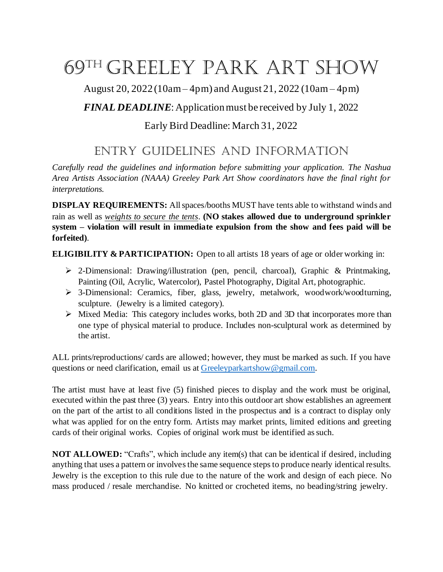# 69th Greeley Park art Show

August 20, 2022 (10am – 4pm) and August 21, 2022 (10am – 4pm)

## *FINAL DEADLINE*: Application must be received by July 1, 2022

### Early Bird Deadline: March 31, 2022

## entry GuidelineS and information

*Carefully read the guidelines and information before submitting your application. The Nashua Area Artists Association (NAAA) Greeley Park Art Show coordinators have the final right for interpretations.*

**DISPLAY REQUIREMENTS:** Allspaces/booths MUST have tents able to withstand winds and rain as well as *weights to secure the tents*. **(NO stakes allowed due to underground sprinkler system – violation will result in immediate expulsion from the show and fees paid will be forfeited)**.

**ELIGIBILITY & PARTICIPATION:** Open to all artists 18 years of age or older working in:

- ➢ 2-Dimensional: Drawing/illustration (pen, pencil, charcoal), Graphic & Printmaking, Painting (Oil, Acrylic, Watercolor), Pastel Photography, Digital Art, photographic.
- ➢ 3-Dimensional: Ceramics, fiber, glass, jewelry, metalwork, woodwork/woodturning, sculpture. (Jewelry is a limited category).
- ➢ Mixed Media: This category includes works, both 2D and 3D that incorporates more than one type of physical material to produce. Includes non-sculptural work as determined by the artist.

ALL prints/reproductions/ cards are allowed; however, they must be marked as such. If you have questions or need clarification, email us at Greeleyparkartshow@gmail.com.

The artist must have at least five (5) finished pieces to display and the work must be original, executed within the past three (3) years. Entry into this outdoor art show establishes an agreement on the part of the artist to all conditions listed in the prospectus and is a contract to display only what was applied for on the entry form. Artists may market prints, limited editions and greeting cards of their original works. Copies of original work must be identified as such.

**NOT ALLOWED:** "Crafts", which include any item(s) that can be identical if desired, including anything that uses a pattern or involves the same sequence steps to produce nearly identical results. Jewelry is the exception to this rule due to the nature of the work and design of each piece. No mass produced / resale merchandise. No knitted or crocheted items, no beading/string jewelry.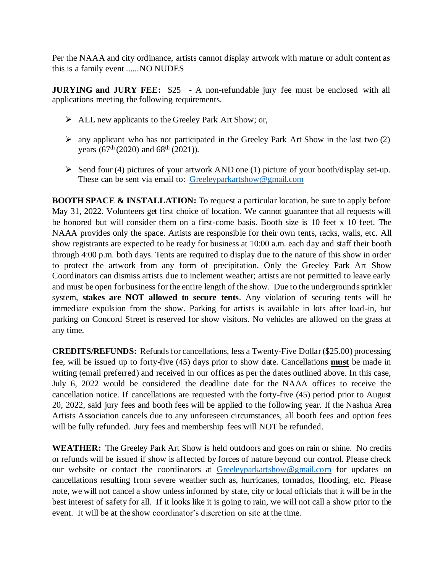Per the NAAA and city ordinance, artists cannot display artwork with mature or adult content as this is a family event ......NO NUDES

**JURYING and JURY FEE:** \$25 - A non-refundable jury fee must be enclosed with all applications meeting the following requirements.

- ➢ ALL new applicants to the Greeley Park Art Show; or,
- $\triangleright$  any applicant who has not participated in the Greeley Park Art Show in the last two (2) years  $(67<sup>th</sup> (2020)$  and  $68<sup>th</sup> (2021)$ ).
- $\triangleright$  Send four (4) pictures of your artwork AND one (1) picture of your booth/display set-up. These can be sent via email to: Greeleyparkartshow@gmail.com

**BOOTH SPACE & INSTALLATION:** To request a particular location, be sure to apply before May 31, 2022. Volunteers get first choice of location. We cannot guarantee that all requests will be honored but will consider them on a first-come basis. Booth size is 10 feet x 10 feet. The NAAA provides only the space. Artists are responsible for their own tents, racks, walls, etc. All show registrants are expected to be ready for business at 10:00 a.m. each day and staff their booth through 4:00 p.m. both days. Tents are required to display due to the nature of this show in order to protect the artwork from any form of precipitation. Only the Greeley Park Art Show Coordinators can dismiss artists due to inclement weather; artists are not permitted to leave early and must be open for business for the entire length of the show. Due to the undergrounds sprinkler system, **stakes are NOT allowed to secure tents**. Any violation of securing tents will be immediate expulsion from the show. Parking for artists is available in lots after load-in, but parking on Concord Street is reserved for show visitors. No vehicles are allowed on the grass at any time.

**CREDITS/REFUNDS:** Refunds for cancellations, less a Twenty-Five Dollar (\$25.00) processing fee, will be issued up to forty-five (45) days prior to show date. Cancellations **must** be made in writing (email preferred) and received in our offices as per the dates outlined above. In this case, July 6, 2022 would be considered the deadline date for the NAAA offices to receive the cancellation notice. If cancellations are requested with the forty-five (45) period prior to August 20, 2022, said jury fees and booth fees will be applied to the following year. If the Nashua Area Artists Association cancels due to any unforeseen circumstances, all booth fees and option fees will be fully refunded. Jury fees and membership fees will NOT be refunded.

**WEATHER:** The Greeley Park Art Show is held outdoors and goes on rain or shine. No credits or refunds will be issued if show is affected by forces of nature beyond our control. Please check our website or contact the coordinators at Greeleyparkartshow@gmail.com for updates on cancellations resulting from severe weather such as, hurricanes, tornados, flooding, etc. Please note, we will not cancel a show unless informed by state, city or local officials that it will be in the best interest of safety for all. If it looks like it is going to rain, we will not call a show prior to the event. It will be at the show coordinator's discretion on site at the time.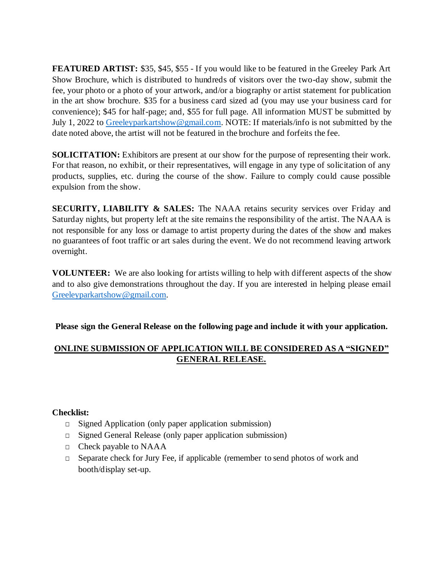**FEATURED ARTIST:** \$35, \$45, \$55 - If you would like to be featured in the Greeley Park Art Show Brochure, which is distributed to hundreds of visitors over the two-day show, submit the fee, your photo or a photo of your artwork, and/or a biography or artist statement for publication in the art show brochure. \$35 for a business card sized ad (you may use your business card for convenience); \$45 for half-page; and, \$55 for full page. All information MUST be submitted by July 1, 2022 to Greeleyparkartshow@gmail.com. NOTE: If materials/info is not submitted by the date noted above, the artist will not be featured in the brochure and forfeits the fee.

**SOLICITATION:** Exhibitors are present at our show for the purpose of representing their work. For that reason, no exhibit, or their representatives, will engage in any type of solicitation of any products, supplies, etc. during the course of the show. Failure to comply could cause possible expulsion from the show.

**SECURITY, LIABILITY & SALES:** The NAAA retains security services over Friday and Saturday nights, but property left at the site remains the responsibility of the artist. The NAAA is not responsible for any loss or damage to artist property during the dates of the show and makes no guarantees of foot traffic or art sales during the event. We do not recommend leaving artwork overnight.

**VOLUNTEER:** We are also looking for artists willing to help with different aspects of the show and to also give demonstrations throughout the day. If you are interested in helping please email Greeleyparkartshow@gmail.com.

**Please sign the General Release on the following page and include it with your application.**

#### **ONLINE SUBMISSION OF APPLICATION WILL BE CONSIDERED AS A "SIGNED" GENERAL RELEASE.**

#### **Checklist:**

- □ Signed Application (only paper application submission)
- □ Signed General Release (only paper application submission)
- $\Box$  Check payable to NAAA
- □ Separate check for Jury Fee, if applicable (remember to send photos of work and booth/display set-up.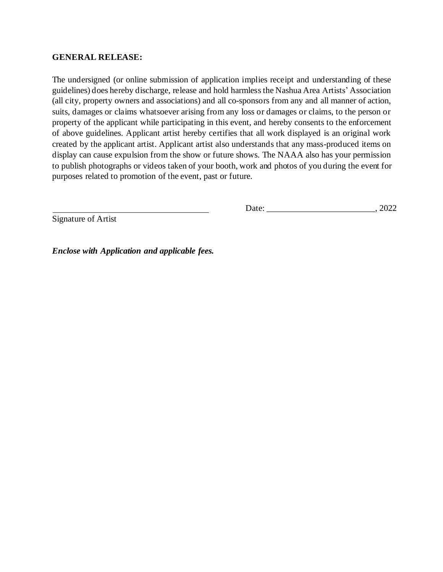#### **GENERAL RELEASE:**

The undersigned (or online submission of application implies receipt and understanding of these guidelines) does hereby discharge, release and hold harmlessthe Nashua Area Artists' Association (all city, property owners and associations) and all co-sponsors from any and all manner of action, suits, damages or claims whatsoever arising from any loss or damages or claims, to the person or property of the applicant while participating in this event, and hereby consents to the enforcement of above guidelines. Applicant artist hereby certifies that all work displayed is an original work created by the applicant artist. Applicant artist also understands that any mass-produced items on display can cause expulsion from the show or future shows. The NAAA also has your permission to publish photographs or videos taken of your booth, work and photos of you during the event for purposes related to promotion of the event, past or future.

Date: \_\_\_\_\_\_\_\_\_\_\_\_\_\_\_\_\_\_\_\_\_\_\_\_\_, 2022

Signature of Artist

*Enclose with Application and applicable fees.*